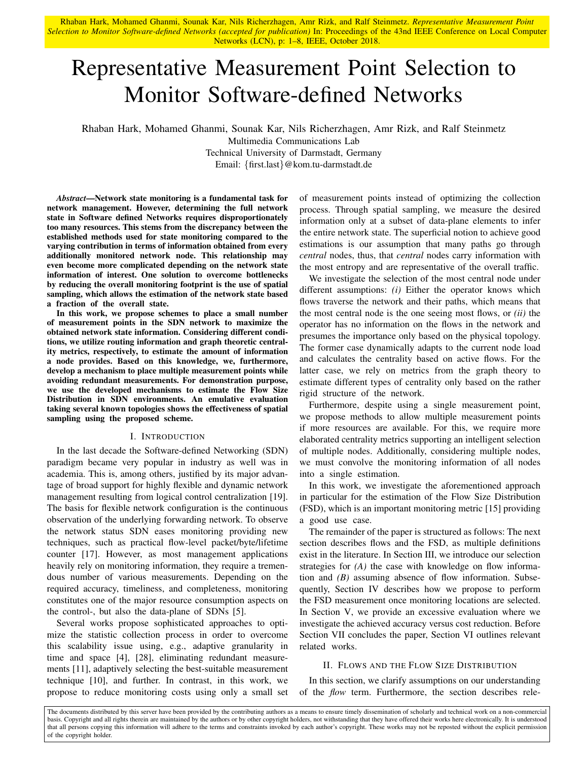# Representative Measurement Point Selection to Monitor Software-defined Networks

Rhaban Hark, Mohamed Ghanmi, Sounak Kar, Nils Richerzhagen, Amr Rizk, and Ralf Steinmetz

Multimedia Communications Lab Technical University of Darmstadt, Germany Email: {first.last}@kom.tu-darmstadt.de

*Abstract*—Network state monitoring is a fundamental task for network management. However, determining the full network state in Software defined Networks requires disproportionately too many resources. This stems from the discrepancy between the established methods used for state monitoring compared to the varying contribution in terms of information obtained from every additionally monitored network node. This relationship may even become more complicated depending on the network state information of interest. One solution to overcome bottlenecks by reducing the overall monitoring footprint is the use of spatial sampling, which allows the estimation of the network state based a fraction of the overall state.

In this work, we propose schemes to place a small number of measurement points in the SDN network to maximize the obtained network state information. Considering different conditions, we utilize routing information and graph theoretic centrality metrics, respectively, to estimate the amount of information a node provides. Based on this knowledge, we, furthermore, develop a mechanism to place multiple measurement points while avoiding redundant measurements. For demonstration purpose, we use the developed mechanisms to estimate the Flow Size Distribution in SDN environments. An emulative evaluation taking several known topologies shows the effectiveness of spatial sampling using the proposed scheme.

#### I. INTRODUCTION

In the last decade the Software-defined Networking (SDN) paradigm became very popular in industry as well was in academia. This is, among others, justified by its major advantage of broad support for highly flexible and dynamic network management resulting from logical control centralization [19]. The basis for flexible network configuration is the continuous observation of the underlying forwarding network. To observe the network status SDN eases monitoring providing new techniques, such as practical flow-level packet/byte/lifetime counter [17]. However, as most management applications heavily rely on monitoring information, they require a tremendous number of various measurements. Depending on the required accuracy, timeliness, and completeness, monitoring constitutes one of the major resource consumption aspects on the control-, but also the data-plane of SDNs [5].

Several works propose sophisticated approaches to optimize the statistic collection process in order to overcome this scalability issue using, e.g., adaptive granularity in time and space [4], [28], eliminating redundant measurements [11], adaptively selecting the best-suitable measurement technique [10], and further. In contrast, in this work, we propose to reduce monitoring costs using only a small set of measurement points instead of optimizing the collection process. Through spatial sampling, we measure the desired information only at a subset of data-plane elements to infer the entire network state. The superficial notion to achieve good estimations is our assumption that many paths go through *central* nodes, thus, that *central* nodes carry information with the most entropy and are representative of the overall traffic.

We investigate the selection of the most central node under different assumptions: *(i)* Either the operator knows which flows traverse the network and their paths, which means that the most central node is the one seeing most flows, or *(ii)* the operator has no information on the flows in the network and presumes the importance only based on the physical topology. The former case dynamically adapts to the current node load and calculates the centrality based on active flows. For the latter case, we rely on metrics from the graph theory to estimate different types of centrality only based on the rather rigid structure of the network.

Furthermore, despite using a single measurement point, we propose methods to allow multiple measurement points if more resources are available. For this, we require more elaborated centrality metrics supporting an intelligent selection of multiple nodes. Additionally, considering multiple nodes, we must convolve the monitoring information of all nodes into a single estimation.

In this work, we investigate the aforementioned approach in particular for the estimation of the Flow Size Distribution (FSD), which is an important monitoring metric [15] providing a good use case.

The remainder of the paper is structured as follows: The next section describes flows and the FSD, as multiple definitions exist in the literature. In Section III, we introduce our selection strategies for *(A)* the case with knowledge on flow information and *(B)* assuming absence of flow information. Subsequently, Section IV describes how we propose to perform the FSD measurement once monitoring locations are selected. In Section V, we provide an excessive evaluation where we investigate the achieved accuracy versus cost reduction. Before Section VII concludes the paper, Section VI outlines relevant related works.

# II. FLOWS AND THE FLOW SIZE DISTRIBUTION

In this section, we clarify assumptions on our understanding of the *flow* term. Furthermore, the section describes rele-

The documents distributed by this server have been provided by the contributing authors as a means to ensure timely dissemination of scholarly and technical work on a non-commercial basis. Copyright and all rights therein are maintained by the authors or by other copyright holders, not withstanding that they have offered their works here electronically. It is understood that all persons copying this information will adhere to the terms and constraints invoked by each author's copyright. These works may not be reposted without the explicit permission of the copyright holder.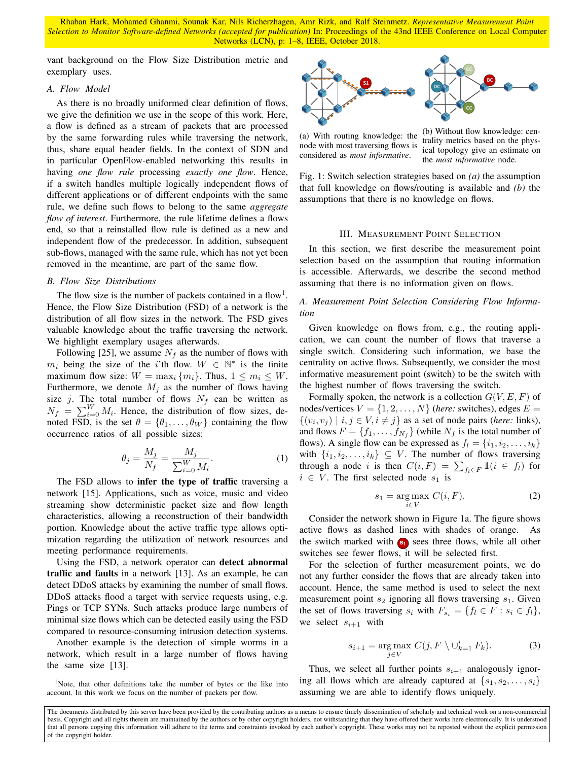vant background on the Flow Size Distribution metric and exemplary uses.

# *A. Flow Model*

As there is no broadly uniformed clear definition of flows, we give the definition we use in the scope of this work. Here, a flow is defined as a stream of packets that are processed by the same forwarding rules while traversing the network, thus, share equal header fields. In the context of SDN and in particular OpenFlow-enabled networking this results in having *one flow rule* processing *exactly one flow*. Hence, if a switch handles multiple logically independent flows of different applications or of different endpoints with the same rule, we define such flows to belong to the same *aggregate flow of interest*. Furthermore, the rule lifetime defines a flows end, so that a reinstalled flow rule is defined as a new and independent flow of the predecessor. In addition, subsequent sub-flows, managed with the same rule, which has not yet been removed in the meantime, are part of the same flow.

## *B. Flow Size Distributions*

The flow size is the number of packets contained in a flow<sup>1</sup>. Hence, the Flow Size Distribution (FSD) of a network is the distribution of all flow sizes in the network. The FSD gives valuable knowledge about the traffic traversing the network. We highlight exemplary usages afterwards.

Following [25], we assume  $N_f$  as the number of flows with  $m_i$  being the size of the i'th flow.  $W \in \mathbb{N}^*$  is the finite maximum flow size:  $W = \max_i \{m_i\}$ . Thus,  $1 \le m_i \le W$ . Furthermore, we denote  $M_j$  as the number of flows having size j. The total number of flows  $N_f$  can be written as  $N_f = \sum_{i=0}^{W} M_i$ . Hence, the distribution of flow sizes, denoted FSD, is the set  $\theta = {\theta_1, \dots, \theta_W}$  containing the flow occurrence ratios of all possible sizes:

$$
\theta_j = \frac{M_j}{N_f} = \frac{M_j}{\sum_{i=0}^{W} M_i}.
$$
\n(1)

The FSD allows to infer the type of traffic traversing a network [15]. Applications, such as voice, music and video streaming show deterministic packet size and flow length characteristics, allowing a reconstruction of their bandwidth portion. Knowledge about the active traffic type allows optimization regarding the utilization of network resources and meeting performance requirements.

Using the FSD, a network operator can detect abnormal traffic and faults in a network [13]. As an example, he can detect DDoS attacks by examining the number of small flows. DDoS attacks flood a target with service requests using, e.g. Pings or TCP SYNs. Such attacks produce large numbers of minimal size flows which can be detected easily using the FSD compared to resource-consuming intrusion detection systems.

Another example is the detection of simple worms in a network, which result in a large number of flows having the same size [13].



(a) With routing knowledge: the node with most traversing flows is considered as *most informative*.

(b) Without flow knowledge: centrality metrics based on the physical topology give an estimate on the *most informative* node.

Fig. 1: Switch selection strategies based on *(a)* the assumption that full knowledge on flows/routing is available and *(b)* the assumptions that there is no knowledge on flows.

# III. MEASUREMENT POINT SELECTION

In this section, we first describe the measurement point selection based on the assumption that routing information is accessible. Afterwards, we describe the second method assuming that there is no information given on flows.

*A. Measurement Point Selection Considering Flow Information*

Given knowledge on flows from, e.g., the routing application, we can count the number of flows that traverse a single switch. Considering such information, we base the centrality on active flows. Subsequently, we consider the most informative measurement point (switch) to be the switch with the highest number of flows traversing the switch.

Formally spoken, the network is a collection  $G(V, E, F)$  of nodes/vertices  $V = \{1, 2, ..., N\}$  (*here:* switches), edges  $E =$  $\{(v_i, v_j) \mid i, j \in V, i \neq j\}$  as a set of node pairs (*here:* links), and flows  $F = \{f_1, \ldots, f_{N_f}\}\$  (while  $N_f$  is the total number of flows). A single flow can be expressed as  $f_l = \{i_1, i_2, \ldots, i_k\}$ with  $\{i_1, i_2, \ldots, i_k\} \subseteq V$ . The number of flows traversing through a node i is then  $C(i, F) = \sum_{f_i \in F} \mathbb{1}(i \in f_i)$  for  $i \in V$ . The first selected node  $s_1$  is

$$
s_1 = \underset{i \in V}{\text{arg}\max} \ C(i, F). \tag{2}
$$

Consider the network shown in Figure 1a. The figure shows active flows as dashed lines with shades of orange. As the switch marked with **<sup>s</sup><sup>1</sup>** sees three flows, while all other switches see fewer flows, it will be selected first.

For the selection of further measurement points, we do not any further consider the flows that are already taken into account. Hence, the same method is used to select the next measurement point  $s_2$  ignoring all flows traversing  $s_1$ . Given the set of flows traversing  $s_i$  with  $F_{s_i} = \{f_i \in F : s_i \in f_i\},\$ we select  $s_{i+1}$  with

$$
s_{i+1} = \underset{j \in V}{\text{arg max}} \ C(j, F \setminus \cup_{k=1}^{i} F_k). \tag{3}
$$

Thus, we select all further points  $s_{i+1}$  analogously ignoring all flows which are already captured at  $\{s_1, s_2, \ldots, s_i\}$ assuming we are able to identify flows uniquely.

<sup>&</sup>lt;sup>1</sup>Note, that other definitions take the number of bytes or the like into account. In this work we focus on the number of packets per flow.

The documents distributed by this server have been provided by the contributing authors as a means to ensure timely dissemination of scholarly and technical work on a non-commercial basis. Copyright and all rights therein are maintained by the authors or by other copyright holders, not withstanding that they have offered their works here electronically. It is understood that all persons copying this information will adhere to the terms and constraints invoked by each author's copyright. These works may not be reposted without the explicit permission of the copyright holder.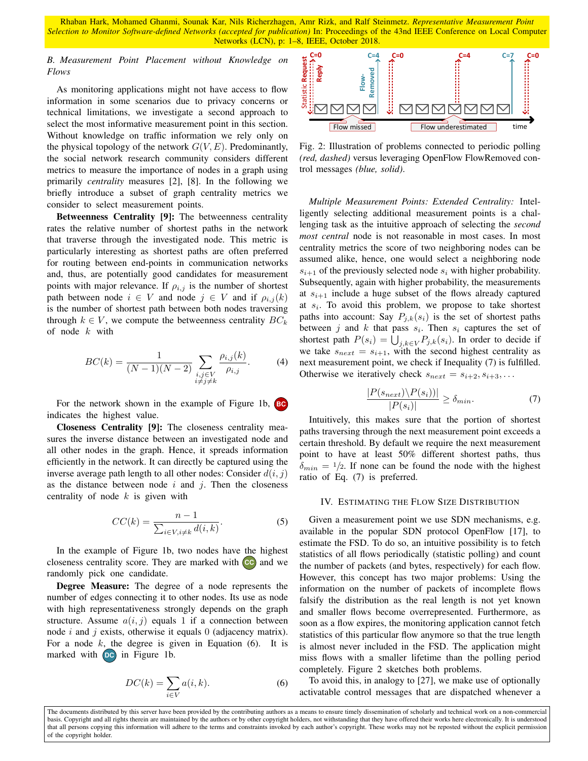# *B. Measurement Point Placement without Knowledge on Flows*

As monitoring applications might not have access to flow information in some scenarios due to privacy concerns or technical limitations, we investigate a second approach to select the most informative measurement point in this section. Without knowledge on traffic information we rely only on the physical topology of the network  $G(V, E)$ . Predominantly, the social network research community considers different metrics to measure the importance of nodes in a graph using primarily *centrality* measures [2], [8]. In the following we briefly introduce a subset of graph centrality metrics we consider to select measurement points.

Betweenness Centrality [9]: The betweenness centrality rates the relative number of shortest paths in the network that traverse through the investigated node. This metric is particularly interesting as shortest paths are often preferred for routing between end-points in communication networks and, thus, are potentially good candidates for measurement points with major relevance. If  $\rho_{i,j}$  is the number of shortest path between node  $i \in V$  and node  $j \in V$  and if  $\rho_{i,j}(k)$ is the number of shortest path between both nodes traversing through  $k \in V$ , we compute the betweenness centrality  $BC_k$ of node  $k$  with

$$
BC(k) = \frac{1}{(N-1)(N-2)} \sum_{\substack{i,j \in V \\ i \neq j \neq k}} \frac{\rho_{i,j}(k)}{\rho_{i,j}}.
$$
 (4)

For the network shown in the example of Figure 1b, **BC** indicates the highest value.

Closeness Centrality [9]: The closeness centrality measures the inverse distance between an investigated node and all other nodes in the graph. Hence, it spreads information efficiently in the network. It can directly be captured using the inverse average path length to all other nodes: Consider  $d(i, j)$ as the distance between node  $i$  and  $j$ . Then the closeness centrality of node  $k$  is given with

$$
CC(k) = \frac{n-1}{\sum_{i \in V, i \neq k} d(i, k)}.
$$
\n(5)

In the example of Figure 1b, two nodes have the highest closeness centrality score. They are marked with **CC** and we randomly pick one candidate.

Degree Measure: The degree of a node represents the number of edges connecting it to other nodes. Its use as node with high representativeness strongly depends on the graph structure. Assume  $a(i, j)$  equals 1 if a connection between node i and j exists, otherwise it equals  $\theta$  (adjacency matrix). For a node  $k$ , the degree is given in Equation (6). It is marked with **DC** in Figure 1b.

$$
DC(k) = \sum_{i \in V} a(i, k). \tag{6}
$$



Fig. 2: Illustration of problems connected to periodic polling *(red, dashed)* versus leveraging OpenFlow FlowRemoved control messages *(blue, solid)*.

*Multiple Measurement Points: Extended Centrality:* Intelligently selecting additional measurement points is a challenging task as the intuitive approach of selecting the *second most central* node is not reasonable in most cases. In most centrality metrics the score of two neighboring nodes can be assumed alike, hence, one would select a neighboring node  $s_{i+1}$  of the previously selected node  $s_i$  with higher probability. Subsequently, again with higher probability, the measurements at  $s_{i+1}$  include a huge subset of the flows already captured at  $s_i$ . To avoid this problem, we propose to take shortest paths into account: Say  $P_{j,k}(s_i)$  is the set of shortest paths between j and k that pass  $s_i$ . Then  $s_i$  captures the set of shortest path  $P(s_i) = \bigcup_{j,k \in V} P_{j,k}(s_i)$ . In order to decide if we take  $s_{next} = s_{i+1}$ , with the second highest centrality as next measurement point, we check if Inequality (7) is fulfilled. Otherwise we iteratively check  $s_{next} = s_{i+2}, s_{i+3}, \ldots$ 

$$
\frac{|P(s_{next})\backslash P(s_i))|}{|P(s_i)|} \ge \delta_{min}.\tag{7}
$$

Intuitively, this makes sure that the portion of shortest paths traversing through the next measurement point exceeds a certain threshold. By default we require the next measurement point to have at least 50% different shortest paths, thus  $\delta_{min} = 1/2$ . If none can be found the node with the highest ratio of Eq. (7) is preferred.

#### IV. ESTIMATING THE FLOW SIZE DISTRIBUTION

Given a measurement point we use SDN mechanisms, e.g. available in the popular SDN protocol OpenFlow [17], to estimate the FSD. To do so, an intuitive possibility is to fetch statistics of all flows periodically (statistic polling) and count the number of packets (and bytes, respectively) for each flow. However, this concept has two major problems: Using the information on the number of packets of incomplete flows falsify the distribution as the real length is not yet known and smaller flows become overrepresented. Furthermore, as soon as a flow expires, the monitoring application cannot fetch statistics of this particular flow anymore so that the true length is almost never included in the FSD. The application might miss flows with a smaller lifetime than the polling period completely. Figure 2 sketches both problems.

To avoid this, in analogy to [27], we make use of optionally activatable control messages that are dispatched whenever a

The documents distributed by this server have been provided by the contributing authors as a means to ensure timely dissemination of scholarly and technical work on a non-commercial basis. Copyright and all rights therein are maintained by the authors or by other copyright holders, not withstanding that they have offered their works here electronically. It is understood that all persons copying this information will adhere to the terms and constraints invoked by each author's copyright. These works may not be reposted without the explicit permission of the copyright holder.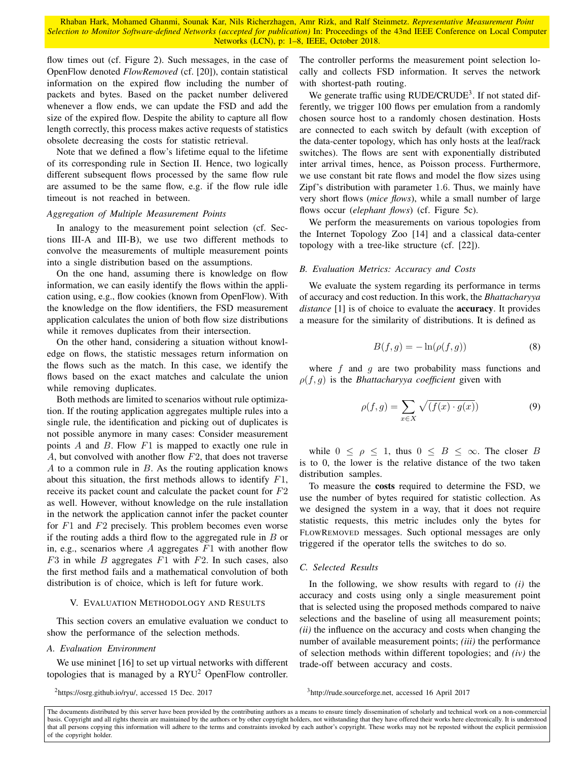flow times out (cf. Figure 2). Such messages, in the case of OpenFlow denoted *FlowRemoved* (cf. [20]), contain statistical information on the expired flow including the number of packets and bytes. Based on the packet number delivered whenever a flow ends, we can update the FSD and add the size of the expired flow. Despite the ability to capture all flow length correctly, this process makes active requests of statistics obsolete decreasing the costs for statistic retrieval.

Note that we defined a flow's lifetime equal to the lifetime of its corresponding rule in Section II. Hence, two logically different subsequent flows processed by the same flow rule are assumed to be the same flow, e.g. if the flow rule idle timeout is not reached in between.

#### *Aggregation of Multiple Measurement Points*

In analogy to the measurement point selection (cf. Sections III-A and III-B), we use two different methods to convolve the measurements of multiple measurement points into a single distribution based on the assumptions.

On the one hand, assuming there is knowledge on flow information, we can easily identify the flows within the application using, e.g., flow cookies (known from OpenFlow). With the knowledge on the flow identifiers, the FSD measurement application calculates the union of both flow size distributions while it removes duplicates from their intersection.

On the other hand, considering a situation without knowledge on flows, the statistic messages return information on the flows such as the match. In this case, we identify the flows based on the exact matches and calculate the union while removing duplicates.

Both methods are limited to scenarios without rule optimization. If the routing application aggregates multiple rules into a single rule, the identification and picking out of duplicates is not possible anymore in many cases: Consider measurement points A and B. Flow  $F1$  is mapped to exactly one rule in A, but convolved with another flow F2, that does not traverse A to a common rule in  $B$ . As the routing application knows about this situation, the first methods allows to identify  $F1$ , receive its packet count and calculate the packet count for F2 as well. However, without knowledge on the rule installation in the network the application cannot infer the packet counter for  $F1$  and  $F2$  precisely. This problem becomes even worse if the routing adds a third flow to the aggregated rule in  $B$  or in, e.g., scenarios where  $A$  aggregates  $F1$  with another flow  $F3$  in while B aggregates  $F1$  with  $F2$ . In such cases, also the first method fails and a mathematical convolution of both distribution is of choice, which is left for future work.

#### V. EVALUATION METHODOLOGY AND RESULTS

This section covers an emulative evaluation we conduct to show the performance of the selection methods.

## *A. Evaluation Environment*

We use mininet [16] to set up virtual networks with different topologies that is managed by a  $RYU^2$  OpenFlow controller.

<sup>2</sup>https://osrg.github.io/ryu/, accessed 15 Dec. 2017

The controller performs the measurement point selection locally and collects FSD information. It serves the network with shortest-path routing.

We generate traffic using RUDE/CRUDE<sup>3</sup>. If not stated differently, we trigger 100 flows per emulation from a randomly chosen source host to a randomly chosen destination. Hosts are connected to each switch by default (with exception of the data-center topology, which has only hosts at the leaf/rack switches). The flows are sent with exponentially distributed inter arrival times, hence, as Poisson process. Furthermore, we use constant bit rate flows and model the flow sizes using Zipf's distribution with parameter 1.6. Thus, we mainly have very short flows (*mice flows*), while a small number of large flows occur (*elephant flows*) (cf. Figure 5c).

We perform the measurements on various topologies from the Internet Topology Zoo [14] and a classical data-center topology with a tree-like structure (cf. [22]).

#### *B. Evaluation Metrics: Accuracy and Costs*

We evaluate the system regarding its performance in terms of accuracy and cost reduction. In this work, the *Bhattacharyya distance* [1] is of choice to evaluate the accuracy. It provides a measure for the similarity of distributions. It is defined as

$$
B(f,g) = -\ln(\rho(f,g))\tag{8}
$$

where  $f$  and  $g$  are two probability mass functions and  $\rho(f, g)$  is the *Bhattacharyya coefficient* given with

$$
\rho(f,g) = \sum_{x \in X} \sqrt{(f(x) \cdot g(x))}
$$
\n(9)

while  $0 \le \rho \le 1$ , thus  $0 \le B \le \infty$ . The closer B is to 0, the lower is the relative distance of the two taken distribution samples.

To measure the costs required to determine the FSD, we use the number of bytes required for statistic collection. As we designed the system in a way, that it does not require statistic requests, this metric includes only the bytes for FLOWREMOVED messages. Such optional messages are only triggered if the operator tells the switches to do so.

### *C. Selected Results*

In the following, we show results with regard to *(i)* the accuracy and costs using only a single measurement point that is selected using the proposed methods compared to naive selections and the baseline of using all measurement points; *(ii)* the influence on the accuracy and costs when changing the number of available measurement points; *(iii)* the performance of selection methods within different topologies; and *(iv)* the trade-off between accuracy and costs.

<sup>3</sup>http://rude.sourceforge.net, accessed 16 April 2017

The documents distributed by this server have been provided by the contributing authors as a means to ensure timely dissemination of scholarly and technical work on a non-commercial basis. Copyright and all rights therein are maintained by the authors or by other copyright holders, not withstanding that they have offered their works here electronically. It is understood that all persons copying this information will adhere to the terms and constraints invoked by each author's copyright. These works may not be reposted without the explicit permission of the copyright holder.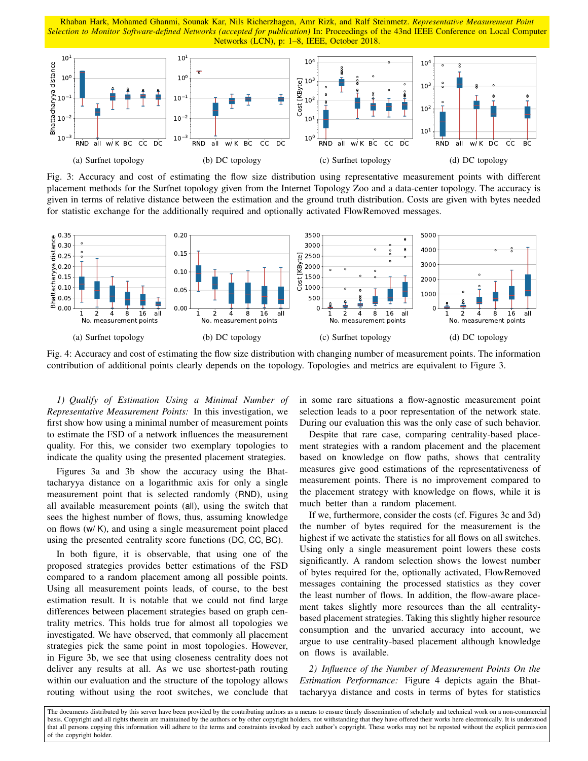

Fig. 3: Accuracy and cost of estimating the flow size distribution using representative measurement points with different placement methods for the Surfnet topology given from the Internet Topology Zoo and a data-center topology. The accuracy is given in terms of relative distance between the estimation and the ground truth distribution. Costs are given with bytes needed for statistic exchange for the additionally required and optionally activated FlowRemoved messages.



Fig. 4: Accuracy and cost of estimating the flow size distribution with changing number of measurement points. The information contribution of additional points clearly depends on the topology. Topologies and metrics are equivalent to Figure 3.

*1) Qualify of Estimation Using a Minimal Number of Representative Measurement Points:* In this investigation, we first show how using a minimal number of measurement points to estimate the FSD of a network influences the measurement quality. For this, we consider two exemplary topologies to indicate the quality using the presented placement strategies.

Figures 3a and 3b show the accuracy using the Bhattacharyya distance on a logarithmic axis for only a single measurement point that is selected randomly (RND), using all available measurement points (all), using the switch that sees the highest number of flows, thus, assuming knowledge on flows (w/ K), and using a single measurement point placed using the presented centrality score functions (DC, CC, BC).

RND all w/ K BC CC DC<br>
(a) Surfnet topology<br>
Fig. 3: Accuracy and cost of<br>
placement methods for the Surf<br>
given in terms of relative distant<br>
for statistic exchange for the ac<br>  $\frac{9}{6}$ , 0.35<br>  $\frac{5}{6}$ , 0.35<br>  $\frac{2}{6}$ In both figure, it is observable, that using one of the proposed strategies provides better estimations of the FSD compared to a random placement among all possible points. Using all measurement points leads, of course, to the best estimation result. It is notable that we could not find large differences between placement strategies based on graph centrality metrics. This holds true for almost all topologies we investigated. We have observed, that commonly all placement strategies pick the same point in most topologies. However, in Figure 3b, we see that using closeness centrality does not deliver any results at all. As we use shortest-path routing within our evaluation and the structure of the topology allows routing without using the root switches, we conclude that

in some rare situations a flow-agnostic measurement point selection leads to a poor representation of the network state. During our evaluation this was the only case of such behavior.

Despite that rare case, comparing centrality-based placement strategies with a random placement and the placement based on knowledge on flow paths, shows that centrality measures give good estimations of the representativeness of measurement points. There is no improvement compared to the placement strategy with knowledge on flows, while it is much better than a random placement.

If we, furthermore, consider the costs (cf. Figures 3c and 3d) the number of bytes required for the measurement is the highest if we activate the statistics for all flows on all switches. Using only a single measurement point lowers these costs significantly. A random selection shows the lowest number of bytes required for the, optionally activated, FlowRemoved messages containing the processed statistics as they cover the least number of flows. In addition, the flow-aware placement takes slightly more resources than the all centralitybased placement strategies. Taking this slightly higher resource consumption and the unvaried accuracy into account, we argue to use centrality-based placement although knowledge on flows is available.

*2) Influence of the Number of Measurement Points On the Estimation Performance:* Figure 4 depicts again the Bhattacharyya distance and costs in terms of bytes for statistics

The documents distributed by this server have been provided by the contributing authors as a means to ensure timely dissemination of scholarly and technical work on a non-commercial basis. Copyright and all rights therein are maintained by the authors or by other copyright holders, not withstanding that they have offered their works here electronically. It is understood that all persons copying this information will adhere to the terms and constraints invoked by each author's copyright. These works may not be reposted without the explicit permission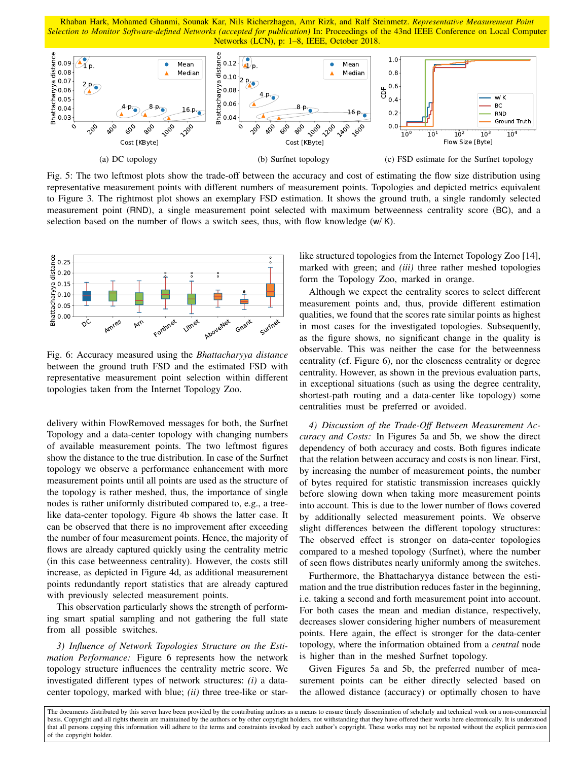

Fig. 5: The two leftmost plots show the trade-off between the accuracy and cost of estimating the flow size distribution using representative measurement points with different numbers of measurement points. Topologies and depicted metrics equivalent to Figure 3. The rightmost plot shows an exemplary FSD estimation. It shows the ground truth, a single randomly selected measurement point (RND), a single measurement point selected with maximum betweenness centrality score (BC), and a selection based on the number of flows a switch sees, thus, with flow knowledge  $(w/K)$ .



Fig. 6: Accuracy measured using the *Bhattacharyya distance* between the ground truth FSD and the estimated FSD with representative measurement point selection within different topologies taken from the Internet Topology Zoo.

delivery within FlowRemoved messages for both, the Surfnet Topology and a data-center topology with changing numbers of available measurement points. The two leftmost figures show the distance to the true distribution. In case of the Surfnet topology we observe a performance enhancement with more measurement points until all points are used as the structure of the topology is rather meshed, thus, the importance of single nodes is rather uniformly distributed compared to, e.g., a treelike data-center topology. Figure 4b shows the latter case. It can be observed that there is no improvement after exceeding the number of four measurement points. Hence, the majority of flows are already captured quickly using the centrality metric (in this case betweenness centrality). However, the costs still increase, as depicted in Figure 4d, as additional measurement points redundantly report statistics that are already captured with previously selected measurement points.

This observation particularly shows the strength of performing smart spatial sampling and not gathering the full state from all possible switches.

*3) Influence of Network Topologies Structure on the Estimation Performance:* Figure 6 represents how the network topology structure influences the centrality metric score. We investigated different types of network structures: *(i)* a datacenter topology, marked with blue; *(ii)* three tree-like or starlike structured topologies from the Internet Topology Zoo [14], marked with green; and *(iii)* three rather meshed topologies form the Topology Zoo, marked in orange.

Although we expect the centrality scores to select different measurement points and, thus, provide different estimation qualities, we found that the scores rate similar points as highest in most cases for the investigated topologies. Subsequently, as the figure shows, no significant change in the quality is observable. This was neither the case for the betweenness centrality (cf. Figure 6), nor the closeness centrality or degree centrality. However, as shown in the previous evaluation parts, in exceptional situations (such as using the degree centrality, shortest-path routing and a data-center like topology) some centralities must be preferred or avoided.

*4) Discussion of the Trade-Off Between Measurement Accuracy and Costs:* In Figures 5a and 5b, we show the direct dependency of both accuracy and costs. Both figures indicate that the relation between accuracy and costs is non linear. First, by increasing the number of measurement points, the number of bytes required for statistic transmission increases quickly before slowing down when taking more measurement points into account. This is due to the lower number of flows covered by additionally selected measurement points. We observe slight differences between the different topology structures: The observed effect is stronger on data-center topologies compared to a meshed topology (Surfnet), where the number of seen flows distributes nearly uniformly among the switches.

Furthermore, the Bhattacharyya distance between the estimation and the true distribution reduces faster in the beginning, i.e. taking a second and forth measurement point into account. For both cases the mean and median distance, respectively, decreases slower considering higher numbers of measurement points. Here again, the effect is stronger for the data-center topology, where the information obtained from a *central* node is higher than in the meshed Surfnet topology.

Given Figures 5a and 5b, the preferred number of measurement points can be either directly selected based on the allowed distance (accuracy) or optimally chosen to have

The documents distributed by this server have been provided by the contributing authors as a means to ensure timely dissemination of scholarly and technical work on a non-commercial basis. Copyright and all rights therein are maintained by the authors or by other copyright holders, not withstanding that they have offered their works here electronically. It is understood that all persons copying this information will adhere to the terms and constraints invoked by each author's copyright. These works may not be reposted without the explicit permission of the copyright holder.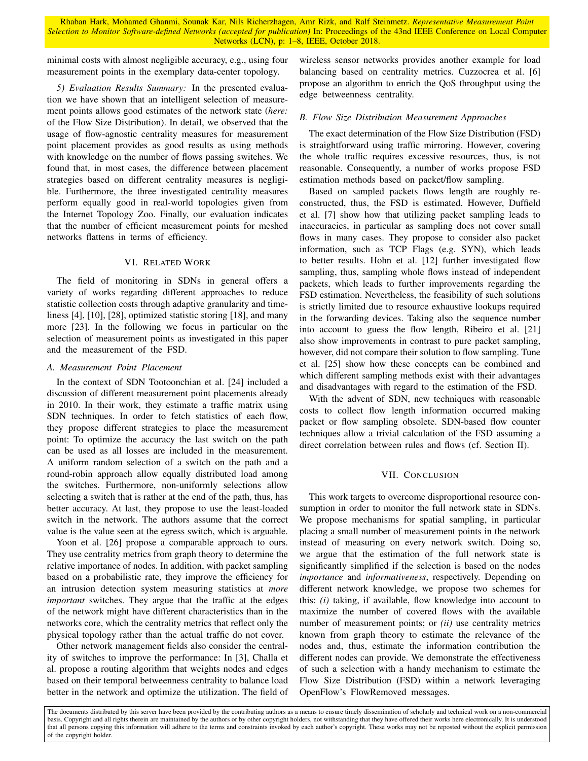minimal costs with almost negligible accuracy, e.g., using four measurement points in the exemplary data-center topology.

*5) Evaluation Results Summary:* In the presented evaluation we have shown that an intelligent selection of measurement points allows good estimates of the network state (*here:* of the Flow Size Distribution). In detail, we observed that the usage of flow-agnostic centrality measures for measurement point placement provides as good results as using methods with knowledge on the number of flows passing switches. We found that, in most cases, the difference between placement strategies based on different centrality measures is negligible. Furthermore, the three investigated centrality measures perform equally good in real-world topologies given from the Internet Topology Zoo. Finally, our evaluation indicates that the number of efficient measurement points for meshed networks flattens in terms of efficiency.

# VI. RELATED WORK

The field of monitoring in SDNs in general offers a variety of works regarding different approaches to reduce statistic collection costs through adaptive granularity and timeliness [4], [10], [28], optimized statistic storing [18], and many more [23]. In the following we focus in particular on the selection of measurement points as investigated in this paper and the measurement of the FSD.

# *A. Measurement Point Placement*

In the context of SDN Tootoonchian et al. [24] included a discussion of different measurement point placements already in 2010. In their work, they estimate a traffic matrix using SDN techniques. In order to fetch statistics of each flow, they propose different strategies to place the measurement point: To optimize the accuracy the last switch on the path can be used as all losses are included in the measurement. A uniform random selection of a switch on the path and a round-robin approach allow equally distributed load among the switches. Furthermore, non-uniformly selections allow selecting a switch that is rather at the end of the path, thus, has better accuracy. At last, they propose to use the least-loaded switch in the network. The authors assume that the correct value is the value seen at the egress switch, which is arguable.

Yoon et al. [26] propose a comparable approach to ours. They use centrality metrics from graph theory to determine the relative importance of nodes. In addition, with packet sampling based on a probabilistic rate, they improve the efficiency for an intrusion detection system measuring statistics at *more important* switches. They argue that the traffic at the edges of the network might have different characteristics than in the networks core, which the centrality metrics that reflect only the physical topology rather than the actual traffic do not cover.

Other network management fields also consider the centrality of switches to improve the performance: In [3], Challa et al. propose a routing algorithm that weights nodes and edges based on their temporal betweenness centrality to balance load better in the network and optimize the utilization. The field of wireless sensor networks provides another example for load balancing based on centrality metrics. Cuzzocrea et al. [6] propose an algorithm to enrich the QoS throughput using the edge betweenness centrality.

# *B. Flow Size Distribution Measurement Approaches*

The exact determination of the Flow Size Distribution (FSD) is straightforward using traffic mirroring. However, covering the whole traffic requires excessive resources, thus, is not reasonable. Consequently, a number of works propose FSD estimation methods based on packet/flow sampling.

Based on sampled packets flows length are roughly reconstructed, thus, the FSD is estimated. However, Duffield et al. [7] show how that utilizing packet sampling leads to inaccuracies, in particular as sampling does not cover small flows in many cases. They propose to consider also packet information, such as TCP Flags (e.g. SYN), which leads to better results. Hohn et al. [12] further investigated flow sampling, thus, sampling whole flows instead of independent packets, which leads to further improvements regarding the FSD estimation. Nevertheless, the feasibility of such solutions is strictly limited due to resource exhaustive lookups required in the forwarding devices. Taking also the sequence number into account to guess the flow length, Ribeiro et al. [21] also show improvements in contrast to pure packet sampling, however, did not compare their solution to flow sampling. Tune et al. [25] show how these concepts can be combined and which different sampling methods exist with their advantages and disadvantages with regard to the estimation of the FSD.

With the advent of SDN, new techniques with reasonable costs to collect flow length information occurred making packet or flow sampling obsolete. SDN-based flow counter techniques allow a trivial calculation of the FSD assuming a direct correlation between rules and flows (cf. Section II).

# VII. CONCLUSION

This work targets to overcome disproportional resource consumption in order to monitor the full network state in SDNs. We propose mechanisms for spatial sampling, in particular placing a small number of measurement points in the network instead of measuring on every network switch. Doing so, we argue that the estimation of the full network state is significantly simplified if the selection is based on the nodes *importance* and *informativeness*, respectively. Depending on different network knowledge, we propose two schemes for this: *(i)* taking, if available, flow knowledge into account to maximize the number of covered flows with the available number of measurement points; or *(ii)* use centrality metrics known from graph theory to estimate the relevance of the nodes and, thus, estimate the information contribution the different nodes can provide. We demonstrate the effectiveness of such a selection with a handy mechanism to estimate the Flow Size Distribution (FSD) within a network leveraging OpenFlow's FlowRemoved messages.

The documents distributed by this server have been provided by the contributing authors as a means to ensure timely dissemination of scholarly and technical work on a non-commercial basis. Copyright and all rights therein are maintained by the authors or by other copyright holders, not withstanding that they have offered their works here electronically. It is understood that all persons copying this information will adhere to the terms and constraints invoked by each author's copyright. These works may not be reposted without the explicit permission of the copyright holder.